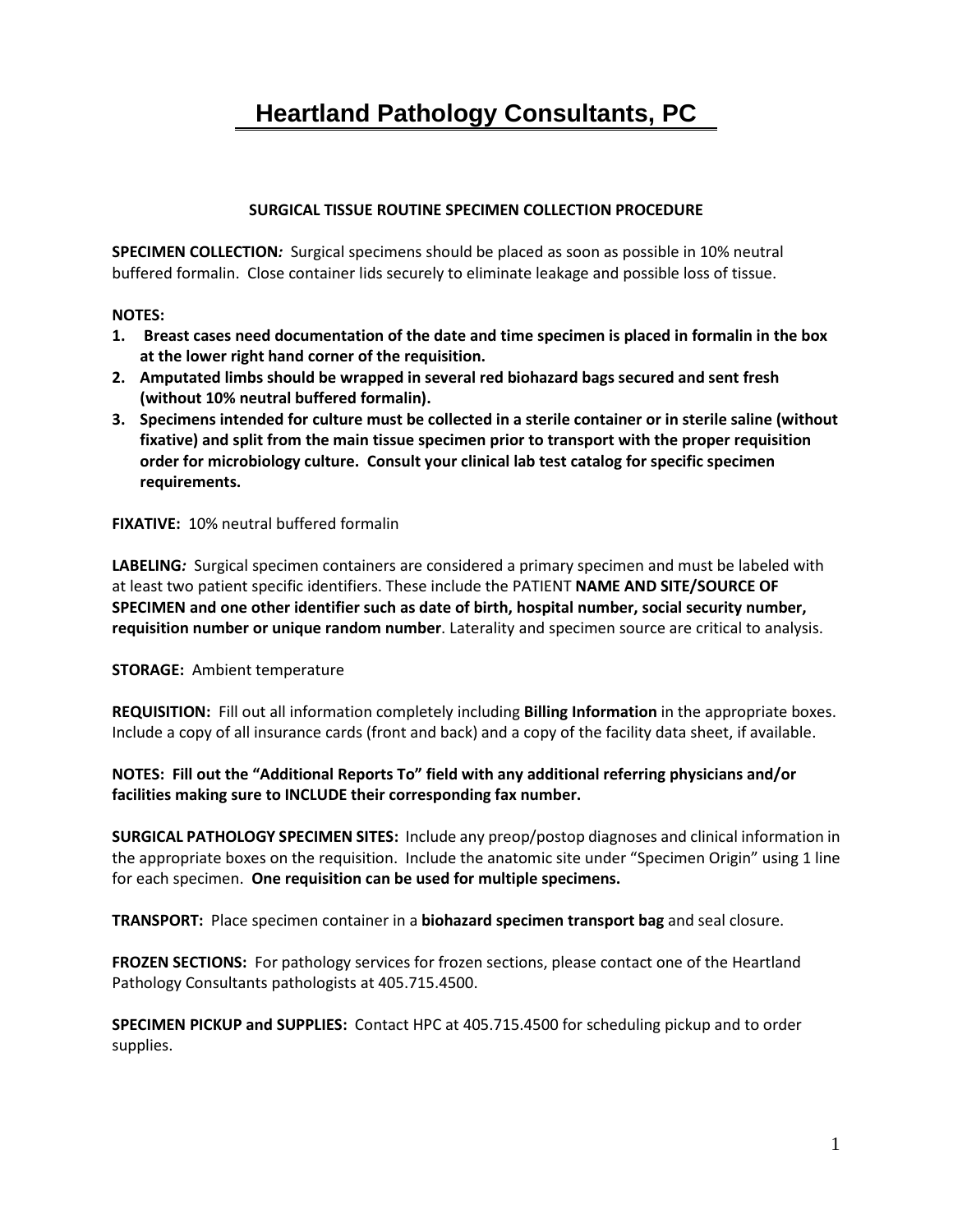# **Heartland Pathology Consultants, PC**

## **SURGICAL TISSUE ROUTINE SPECIMEN COLLECTION PROCEDURE**

**SPECIMEN COLLECTION***:* Surgical specimens should be placed as soon as possible in 10% neutral buffered formalin. Close container lids securely to eliminate leakage and possible loss of tissue.

#### **NOTES:**

- **1. Breast cases need documentation of the date and time specimen is placed in formalin in the box at the lower right hand corner of the requisition.**
- **2. Amputated limbs should be wrapped in several red biohazard bags secured and sent fresh (without 10% neutral buffered formalin).**
- **3. Specimens intended for culture must be collected in a sterile container or in sterile saline (without fixative) and split from the main tissue specimen prior to transport with the proper requisition order for microbiology culture. Consult your clinical lab test catalog for specific specimen requirements.**

**FIXATIVE:** 10% neutral buffered formalin

**LABELING***:* Surgical specimen containers are considered a primary specimen and must be labeled with at least two patient specific identifiers. These include the PATIENT **NAME AND SITE/SOURCE OF SPECIMEN and one other identifier such as date of birth, hospital number, social security number, requisition number or unique random number**. Laterality and specimen source are critical to analysis.

## **STORAGE:** Ambient temperature

**REQUISITION:** Fill out all information completely including **Billing Information** in the appropriate boxes. Include a copy of all insurance cards (front and back) and a copy of the facility data sheet, if available.

**NOTES: Fill out the "Additional Reports To" field with any additional referring physicians and/or facilities making sure to INCLUDE their corresponding fax number.**

**SURGICAL PATHOLOGY SPECIMEN SITES:** Include any preop/postop diagnoses and clinical information in the appropriate boxes on the requisition. Include the anatomic site under "Specimen Origin" using 1 line for each specimen. **One requisition can be used for multiple specimens.**

**TRANSPORT:** Place specimen container in a **biohazard specimen transport bag** and seal closure.

**FROZEN SECTIONS:** For pathology services for frozen sections, please contact one of the Heartland Pathology Consultants pathologists at 405.715.4500.

**SPECIMEN PICKUP and SUPPLIES:** Contact HPC at 405.715.4500 for scheduling pickup and to order supplies.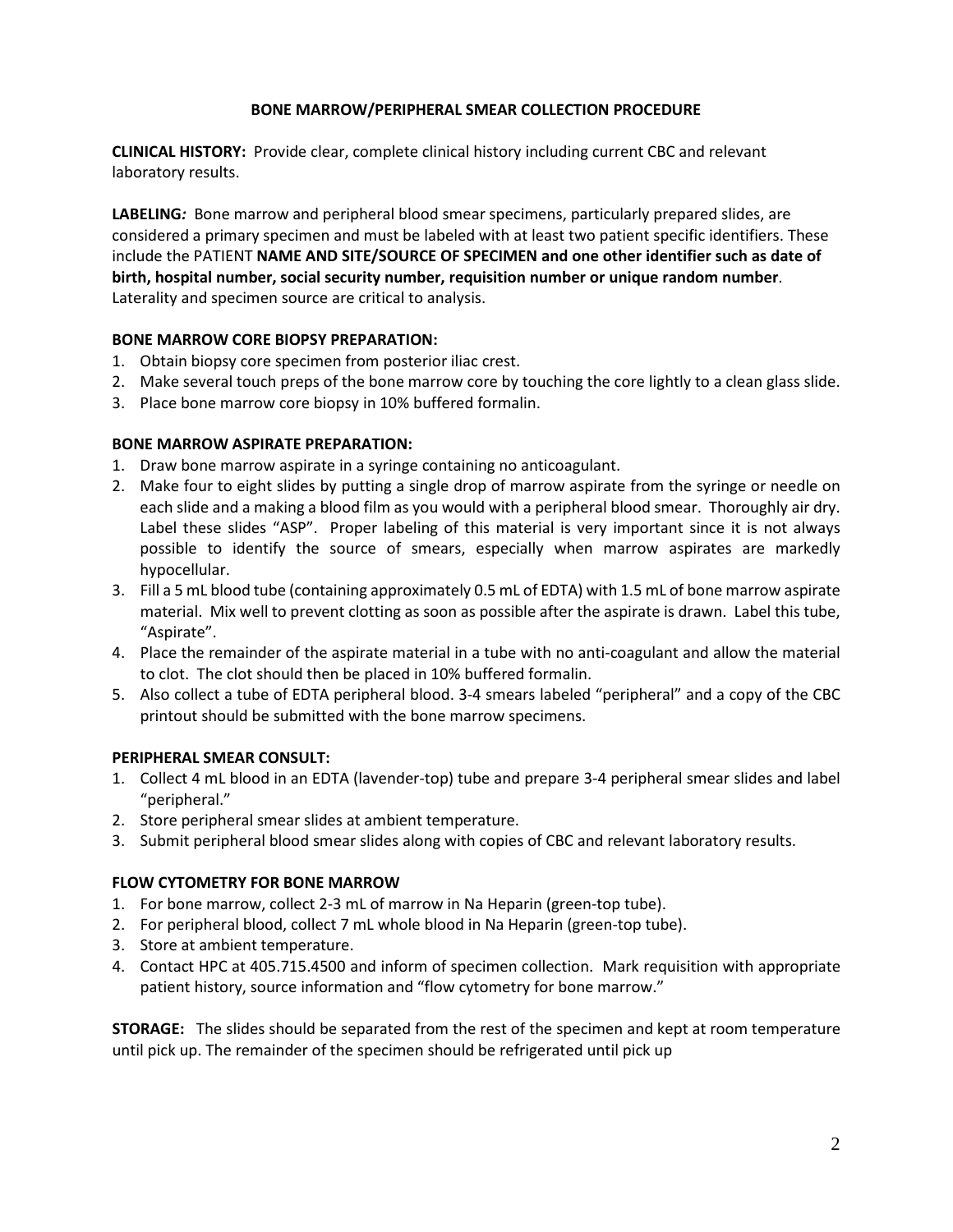## **BONE MARROW/PERIPHERAL SMEAR COLLECTION PROCEDURE**

**CLINICAL HISTORY:** Provide clear, complete clinical history including current CBC and relevant laboratory results.

**LABELING***:* Bone marrow and peripheral blood smear specimens, particularly prepared slides, are considered a primary specimen and must be labeled with at least two patient specific identifiers. These include the PATIENT **NAME AND SITE/SOURCE OF SPECIMEN and one other identifier such as date of birth, hospital number, social security number, requisition number or unique random number**. Laterality and specimen source are critical to analysis.

## **BONE MARROW CORE BIOPSY PREPARATION:**

- 1. Obtain biopsy core specimen from posterior iliac crest.
- 2. Make several touch preps of the bone marrow core by touching the core lightly to a clean glass slide.
- 3. Place bone marrow core biopsy in 10% buffered formalin.

## **BONE MARROW ASPIRATE PREPARATION:**

- 1. Draw bone marrow aspirate in a syringe containing no anticoagulant.
- 2. Make four to eight slides by putting a single drop of marrow aspirate from the syringe or needle on each slide and a making a blood film as you would with a peripheral blood smear. Thoroughly air dry. Label these slides "ASP". Proper labeling of this material is very important since it is not always possible to identify the source of smears, especially when marrow aspirates are markedly hypocellular.
- 3. Fill a 5 mL blood tube (containing approximately 0.5 mL of EDTA) with 1.5 mL of bone marrow aspirate material. Mix well to prevent clotting as soon as possible after the aspirate is drawn. Label this tube, "Aspirate".
- 4. Place the remainder of the aspirate material in a tube with no anti-coagulant and allow the material to clot. The clot should then be placed in 10% buffered formalin.
- 5. Also collect a tube of EDTA peripheral blood. 3-4 smears labeled "peripheral" and a copy of the CBC printout should be submitted with the bone marrow specimens.

## **PERIPHERAL SMEAR CONSULT:**

- 1. Collect 4 mL blood in an EDTA (lavender-top) tube and prepare 3-4 peripheral smear slides and label "peripheral."
- 2. Store peripheral smear slides at ambient temperature.
- 3. Submit peripheral blood smear slides along with copies of CBC and relevant laboratory results.

## **FLOW CYTOMETRY FOR BONE MARROW**

- 1. For bone marrow, collect 2-3 mL of marrow in Na Heparin (green-top tube).
- 2. For peripheral blood, collect 7 mL whole blood in Na Heparin (green-top tube).
- 3. Store at ambient temperature.
- 4. Contact HPC at 405.715.4500 and inform of specimen collection. Mark requisition with appropriate patient history, source information and "flow cytometry for bone marrow."

**STORAGE:** The slides should be separated from the rest of the specimen and kept at room temperature until pick up. The remainder of the specimen should be refrigerated until pick up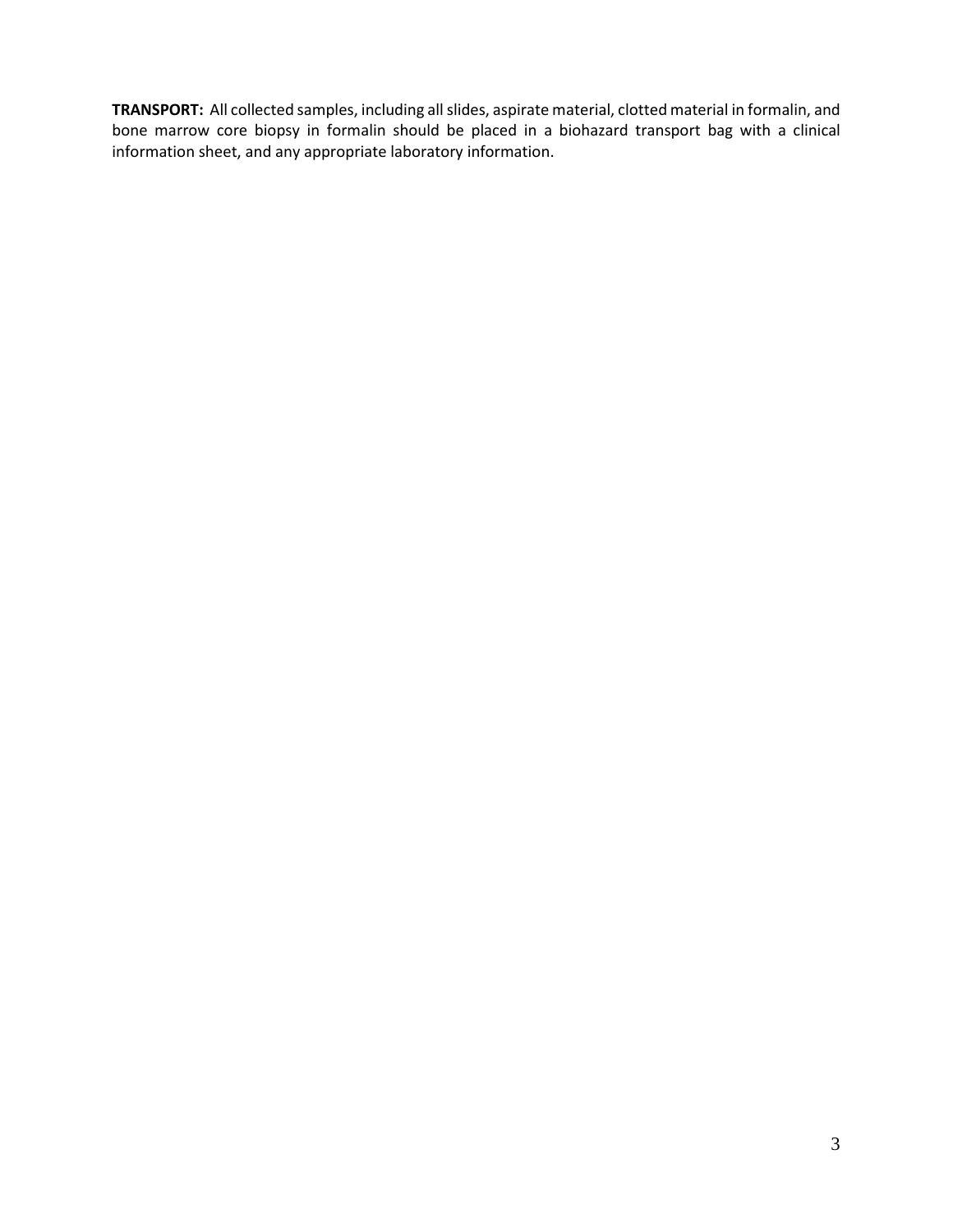**TRANSPORT:** All collected samples, including all slides, aspirate material, clotted material in formalin, and bone marrow core biopsy in formalin should be placed in a biohazard transport bag with a clinical information sheet, and any appropriate laboratory information.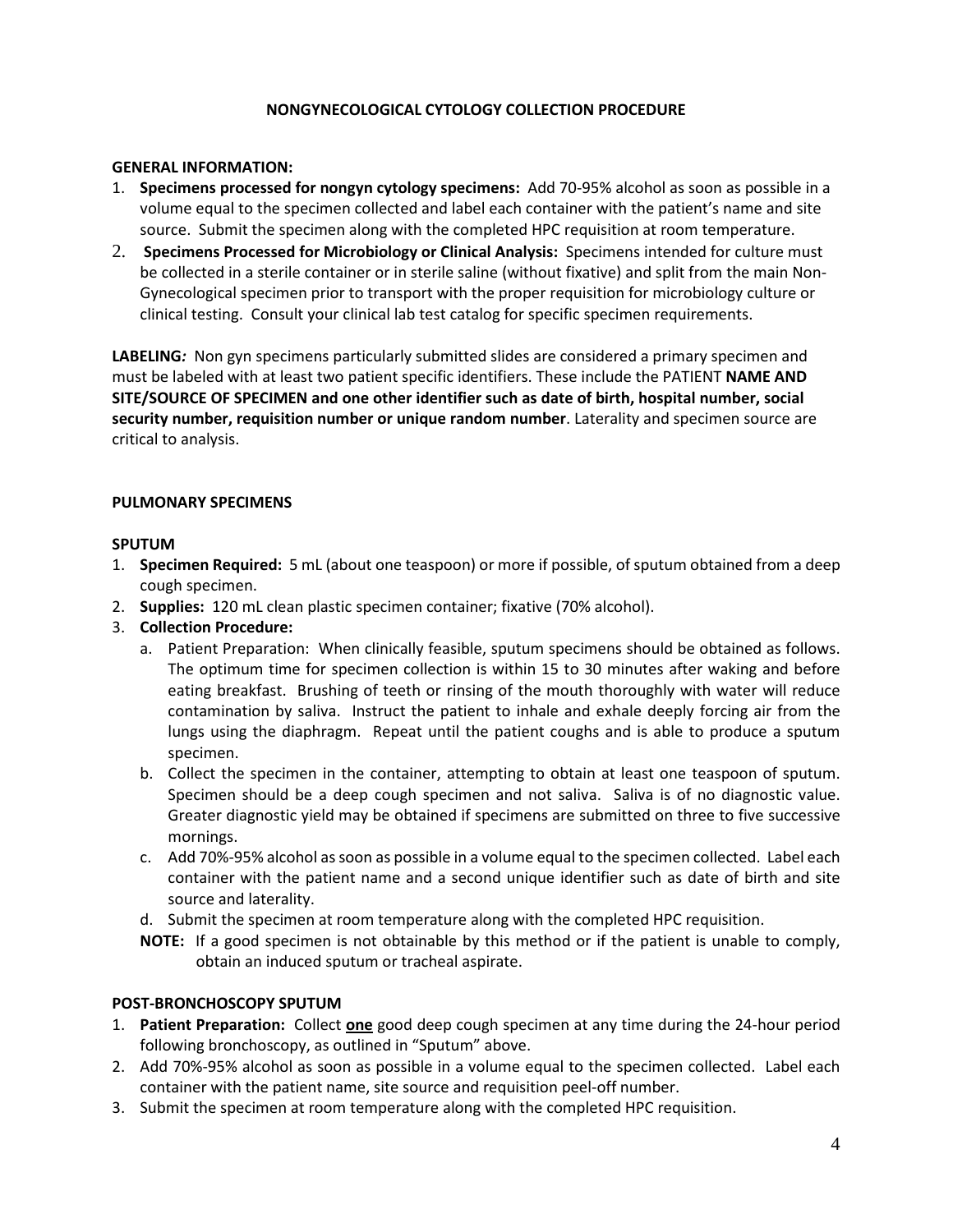## **NONGYNECOLOGICAL CYTOLOGY COLLECTION PROCEDURE**

#### **GENERAL INFORMATION:**

- 1. **Specimens processed for nongyn cytology specimens:** Add 70-95% alcohol as soon as possible in a volume equal to the specimen collected and label each container with the patient's name and site source. Submit the specimen along with the completed HPC requisition at room temperature.
- 2. **Specimens Processed for Microbiology or Clinical Analysis:** Specimens intended for culture must be collected in a sterile container or in sterile saline (without fixative) and split from the main Non-Gynecological specimen prior to transport with the proper requisition for microbiology culture or clinical testing. Consult your clinical lab test catalog for specific specimen requirements.

**LABELING***:* Non gyn specimens particularly submitted slides are considered a primary specimen and must be labeled with at least two patient specific identifiers. These include the PATIENT **NAME AND SITE/SOURCE OF SPECIMEN and one other identifier such as date of birth, hospital number, social security number, requisition number or unique random number**. Laterality and specimen source are critical to analysis.

## **PULMONARY SPECIMENS**

#### **SPUTUM**

- 1. **Specimen Required:** 5 mL (about one teaspoon) or more if possible, of sputum obtained from a deep cough specimen.
- 2. **Supplies:** 120 mL clean plastic specimen container; fixative (70% alcohol).
- 3. **Collection Procedure:**
	- a. Patient Preparation: When clinically feasible, sputum specimens should be obtained as follows. The optimum time for specimen collection is within 15 to 30 minutes after waking and before eating breakfast. Brushing of teeth or rinsing of the mouth thoroughly with water will reduce contamination by saliva. Instruct the patient to inhale and exhale deeply forcing air from the lungs using the diaphragm. Repeat until the patient coughs and is able to produce a sputum specimen.
	- b. Collect the specimen in the container, attempting to obtain at least one teaspoon of sputum. Specimen should be a deep cough specimen and not saliva. Saliva is of no diagnostic value. Greater diagnostic yield may be obtained if specimens are submitted on three to five successive mornings.
	- c. Add 70%-95% alcohol as soon as possible in a volume equal to the specimen collected. Label each container with the patient name and a second unique identifier such as date of birth and site source and laterality.
	- d. Submit the specimen at room temperature along with the completed HPC requisition.
	- **NOTE:** If a good specimen is not obtainable by this method or if the patient is unable to comply, obtain an induced sputum or tracheal aspirate.

## **POST-BRONCHOSCOPY SPUTUM**

- 1. **Patient Preparation:** Collect **one** good deep cough specimen at any time during the 24-hour period following bronchoscopy, as outlined in "Sputum" above.
- 2. Add 70%-95% alcohol as soon as possible in a volume equal to the specimen collected. Label each container with the patient name, site source and requisition peel-off number.
- 3. Submit the specimen at room temperature along with the completed HPC requisition.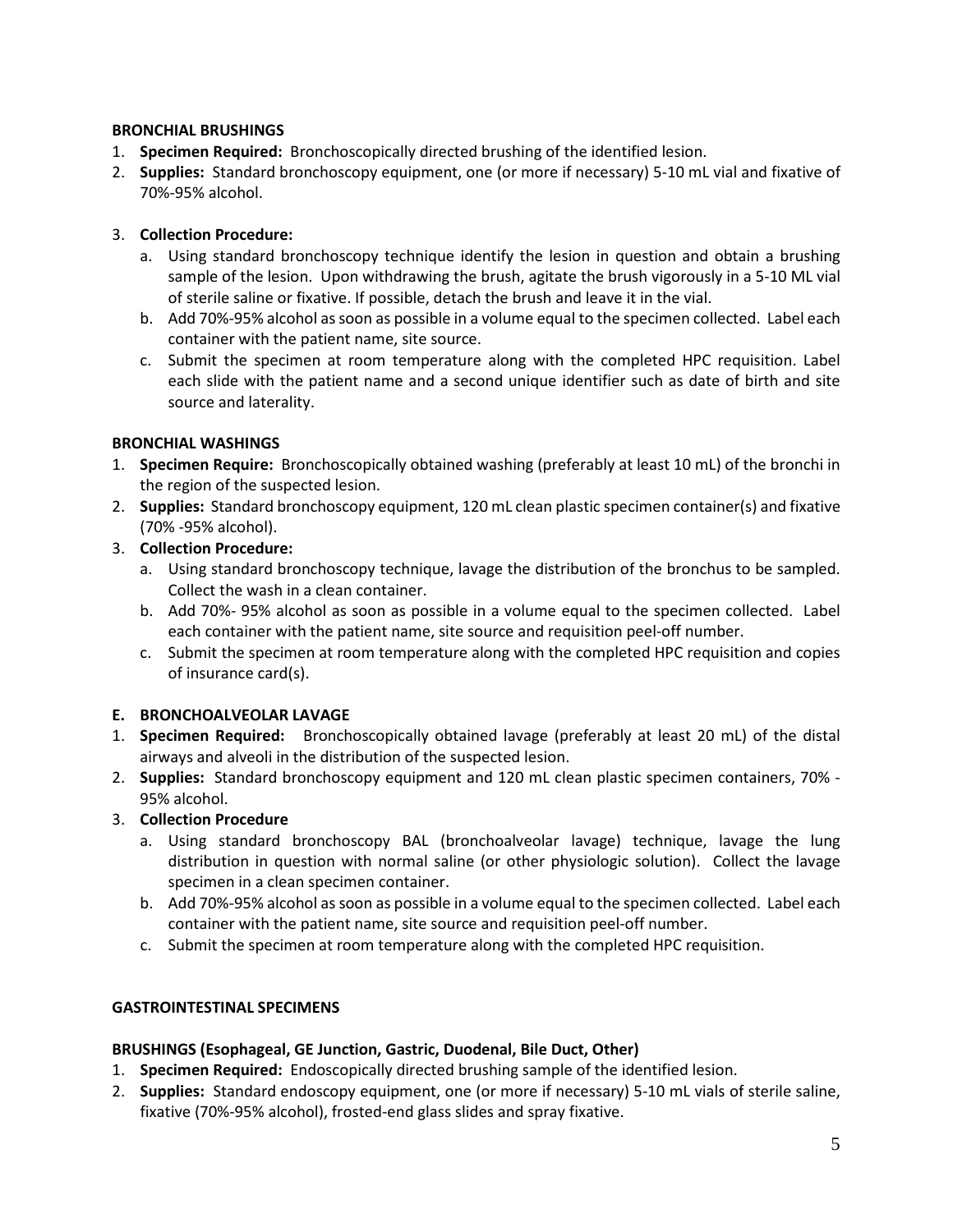## **BRONCHIAL BRUSHINGS**

- 1. **Specimen Required:** Bronchoscopically directed brushing of the identified lesion.
- 2. **Supplies:** Standard bronchoscopy equipment, one (or more if necessary) 5-10 mL vial and fixative of 70%-95% alcohol.

## 3. **Collection Procedure:**

- a. Using standard bronchoscopy technique identify the lesion in question and obtain a brushing sample of the lesion. Upon withdrawing the brush, agitate the brush vigorously in a 5-10 ML vial of sterile saline or fixative. If possible, detach the brush and leave it in the vial.
- b. Add 70%-95% alcohol as soon as possible in a volume equal to the specimen collected. Label each container with the patient name, site source.
- c. Submit the specimen at room temperature along with the completed HPC requisition. Label each slide with the patient name and a second unique identifier such as date of birth and site source and laterality.

## **BRONCHIAL WASHINGS**

- 1. **Specimen Require:** Bronchoscopically obtained washing (preferably at least 10 mL) of the bronchi in the region of the suspected lesion.
- 2. **Supplies:** Standard bronchoscopy equipment, 120 mL clean plastic specimen container(s) and fixative (70% -95% alcohol).
- 3. **Collection Procedure:** 
	- a. Using standard bronchoscopy technique, lavage the distribution of the bronchus to be sampled. Collect the wash in a clean container.
	- b. Add 70%- 95% alcohol as soon as possible in a volume equal to the specimen collected. Label each container with the patient name, site source and requisition peel-off number.
	- c. Submit the specimen at room temperature along with the completed HPC requisition and copies of insurance card(s).

## **E. BRONCHOALVEOLAR LAVAGE**

- 1. **Specimen Required:** Bronchoscopically obtained lavage (preferably at least 20 mL) of the distal airways and alveoli in the distribution of the suspected lesion.
- 2. **Supplies:** Standard bronchoscopy equipment and 120 mL clean plastic specimen containers, 70% 95% alcohol.
- 3. **Collection Procedure**
	- a. Using standard bronchoscopy BAL (bronchoalveolar lavage) technique, lavage the lung distribution in question with normal saline (or other physiologic solution). Collect the lavage specimen in a clean specimen container.
	- b. Add 70%-95% alcohol as soon as possible in a volume equal to the specimen collected. Label each container with the patient name, site source and requisition peel-off number.
	- c. Submit the specimen at room temperature along with the completed HPC requisition.

## **GASTROINTESTINAL SPECIMENS**

## **BRUSHINGS (Esophageal, GE Junction, Gastric, Duodenal, Bile Duct, Other)**

- 1. **Specimen Required:** Endoscopically directed brushing sample of the identified lesion.
- 2. **Supplies:** Standard endoscopy equipment, one (or more if necessary) 5-10 mL vials of sterile saline, fixative (70%-95% alcohol), frosted-end glass slides and spray fixative.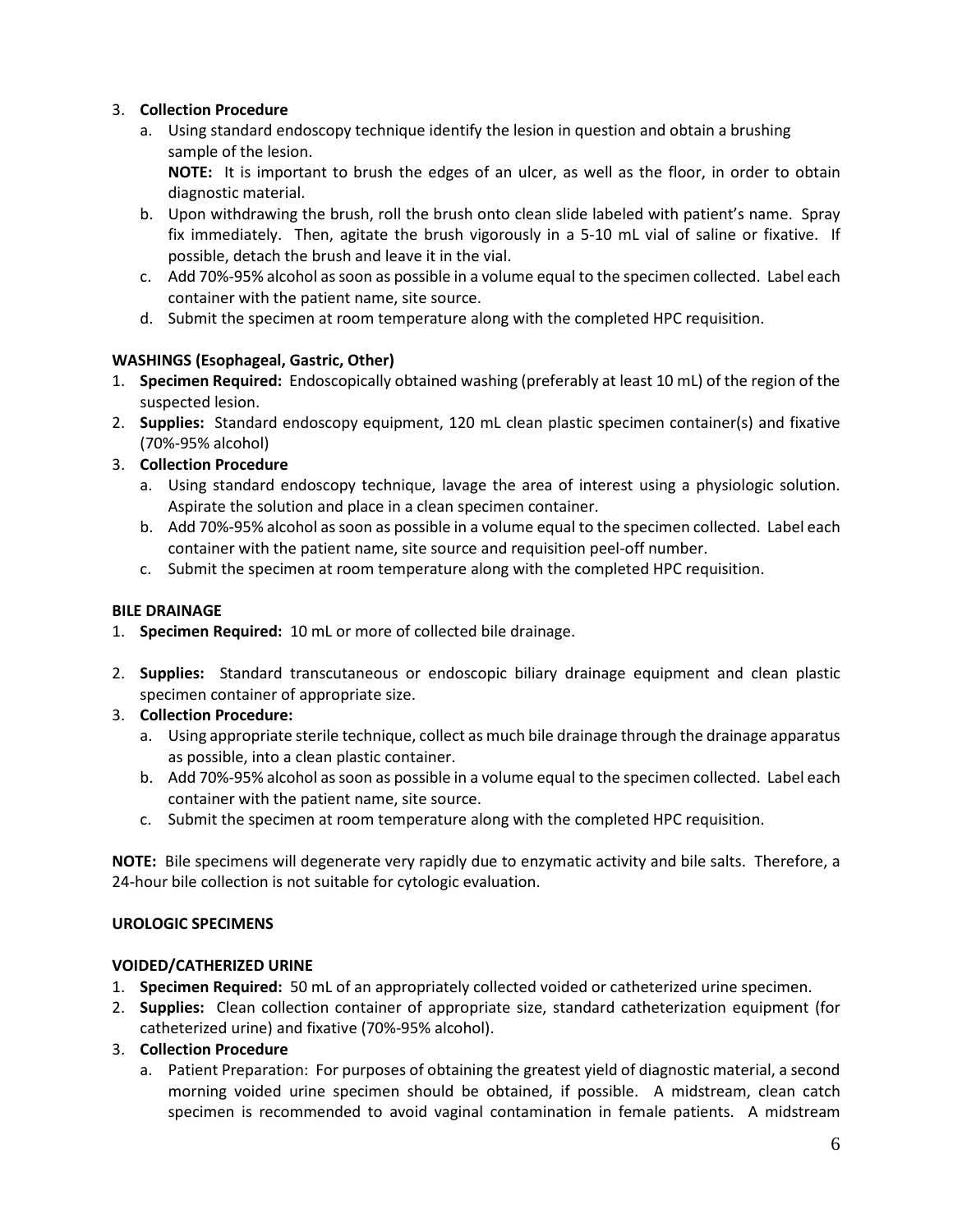## 3. **Collection Procedure**

a. Using standard endoscopy technique identify the lesion in question and obtain a brushing sample of the lesion.

**NOTE:** It is important to brush the edges of an ulcer, as well as the floor, in order to obtain diagnostic material.

- b. Upon withdrawing the brush, roll the brush onto clean slide labeled with patient's name. Spray fix immediately. Then, agitate the brush vigorously in a 5-10 mL vial of saline or fixative. If possible, detach the brush and leave it in the vial.
- c. Add 70%-95% alcohol as soon as possible in a volume equal to the specimen collected. Label each container with the patient name, site source.
- d. Submit the specimen at room temperature along with the completed HPC requisition.

## **WASHINGS (Esophageal, Gastric, Other)**

- 1. **Specimen Required:** Endoscopically obtained washing (preferably at least 10 mL) of the region of the suspected lesion.
- 2. **Supplies:** Standard endoscopy equipment, 120 mL clean plastic specimen container(s) and fixative (70%-95% alcohol)
- 3. **Collection Procedure**
	- a. Using standard endoscopy technique, lavage the area of interest using a physiologic solution. Aspirate the solution and place in a clean specimen container.
	- b. Add 70%-95% alcohol as soon as possible in a volume equal to the specimen collected. Label each container with the patient name, site source and requisition peel-off number.
	- c. Submit the specimen at room temperature along with the completed HPC requisition.

## **BILE DRAINAGE**

- 1. **Specimen Required:** 10 mL or more of collected bile drainage.
- 2. **Supplies:** Standard transcutaneous or endoscopic biliary drainage equipment and clean plastic specimen container of appropriate size.
- 3. **Collection Procedure:**
	- a. Using appropriate sterile technique, collect as much bile drainage through the drainage apparatus as possible, into a clean plastic container.
	- b. Add 70%-95% alcohol as soon as possible in a volume equal to the specimen collected. Label each container with the patient name, site source.
	- c. Submit the specimen at room temperature along with the completed HPC requisition.

**NOTE:** Bile specimens will degenerate very rapidly due to enzymatic activity and bile salts. Therefore, a 24-hour bile collection is not suitable for cytologic evaluation.

## **UROLOGIC SPECIMENS**

## **VOIDED/CATHERIZED URINE**

- 1. **Specimen Required:** 50 mL of an appropriately collected voided or catheterized urine specimen.
- 2. **Supplies:** Clean collection container of appropriate size, standard catheterization equipment (for catheterized urine) and fixative (70%-95% alcohol).
- 3. **Collection Procedure**
	- a. Patient Preparation: For purposes of obtaining the greatest yield of diagnostic material, a second morning voided urine specimen should be obtained, if possible. A midstream, clean catch specimen is recommended to avoid vaginal contamination in female patients. A midstream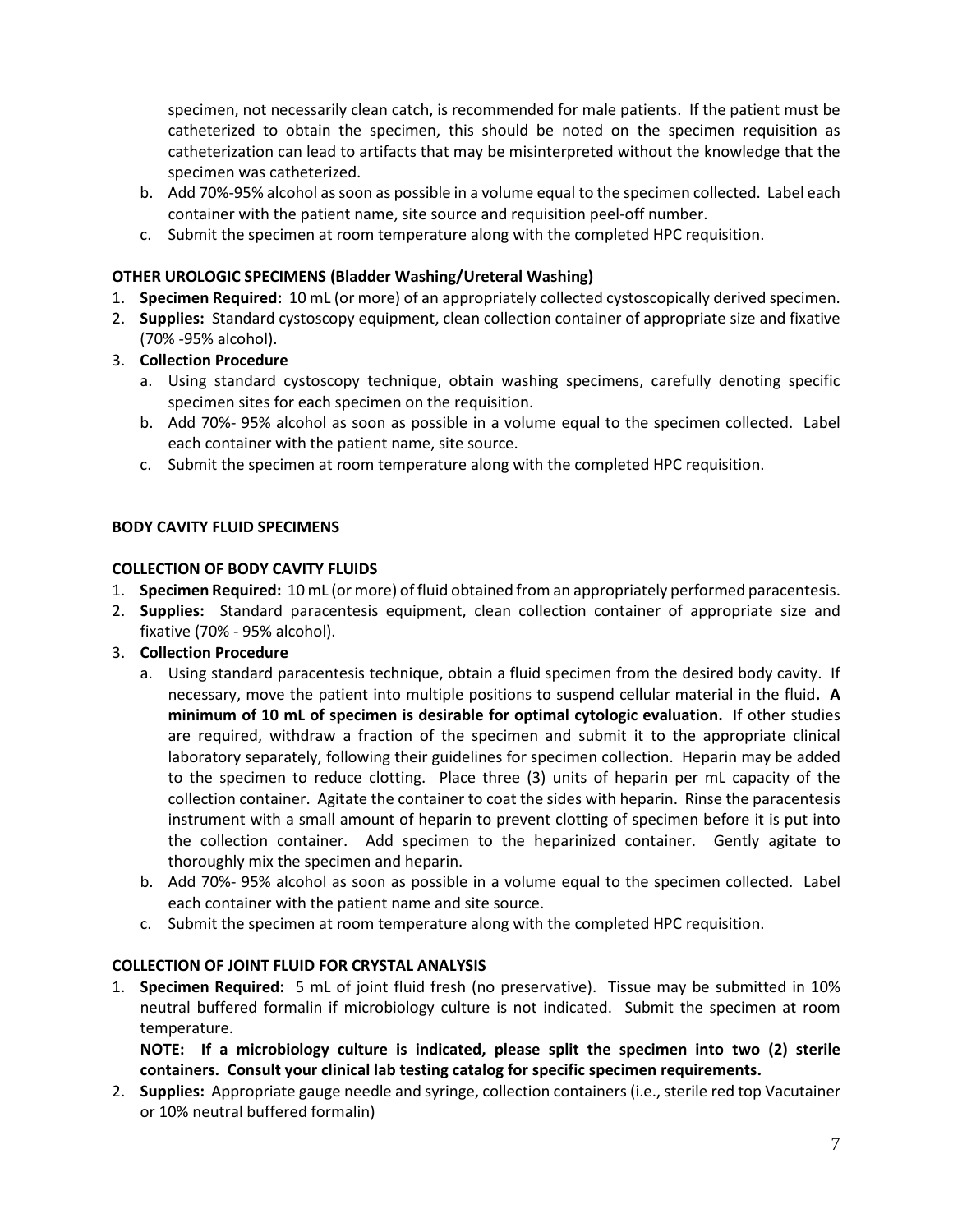specimen, not necessarily clean catch, is recommended for male patients. If the patient must be catheterized to obtain the specimen, this should be noted on the specimen requisition as catheterization can lead to artifacts that may be misinterpreted without the knowledge that the specimen was catheterized.

- b. Add 70%-95% alcohol as soon as possible in a volume equal to the specimen collected. Label each container with the patient name, site source and requisition peel-off number.
- c. Submit the specimen at room temperature along with the completed HPC requisition.

## **OTHER UROLOGIC SPECIMENS (Bladder Washing/Ureteral Washing)**

- 1. **Specimen Required:** 10 mL (or more) of an appropriately collected cystoscopically derived specimen.
- 2. **Supplies:** Standard cystoscopy equipment, clean collection container of appropriate size and fixative (70% -95% alcohol).
- 3. **Collection Procedure**
	- a. Using standard cystoscopy technique, obtain washing specimens, carefully denoting specific specimen sites for each specimen on the requisition.
	- b. Add 70%- 95% alcohol as soon as possible in a volume equal to the specimen collected. Label each container with the patient name, site source.
	- c. Submit the specimen at room temperature along with the completed HPC requisition.

## **BODY CAVITY FLUID SPECIMENS**

## **COLLECTION OF BODY CAVITY FLUIDS**

- 1. **Specimen Required:** 10 mL (or more) of fluid obtained from an appropriately performed paracentesis.
- 2. **Supplies:** Standard paracentesis equipment, clean collection container of appropriate size and fixative (70% - 95% alcohol).
- 3. **Collection Procedure**
	- a. Using standard paracentesis technique, obtain a fluid specimen from the desired body cavity. If necessary, move the patient into multiple positions to suspend cellular material in the fluid**. A minimum of 10 mL of specimen is desirable for optimal cytologic evaluation.** If other studies are required, withdraw a fraction of the specimen and submit it to the appropriate clinical laboratory separately, following their guidelines for specimen collection. Heparin may be added to the specimen to reduce clotting. Place three (3) units of heparin per mL capacity of the collection container. Agitate the container to coat the sides with heparin. Rinse the paracentesis instrument with a small amount of heparin to prevent clotting of specimen before it is put into the collection container. Add specimen to the heparinized container. Gently agitate to thoroughly mix the specimen and heparin.
	- b. Add 70%- 95% alcohol as soon as possible in a volume equal to the specimen collected. Label each container with the patient name and site source.
	- c. Submit the specimen at room temperature along with the completed HPC requisition.

## **COLLECTION OF JOINT FLUID FOR CRYSTAL ANALYSIS**

1. **Specimen Required:** 5 mL of joint fluid fresh (no preservative). Tissue may be submitted in 10% neutral buffered formalin if microbiology culture is not indicated. Submit the specimen at room temperature.

**NOTE: If a microbiology culture is indicated, please split the specimen into two (2) sterile containers. Consult your clinical lab testing catalog for specific specimen requirements.**

2. **Supplies:** Appropriate gauge needle and syringe, collection containers (i.e., sterile red top Vacutainer or 10% neutral buffered formalin)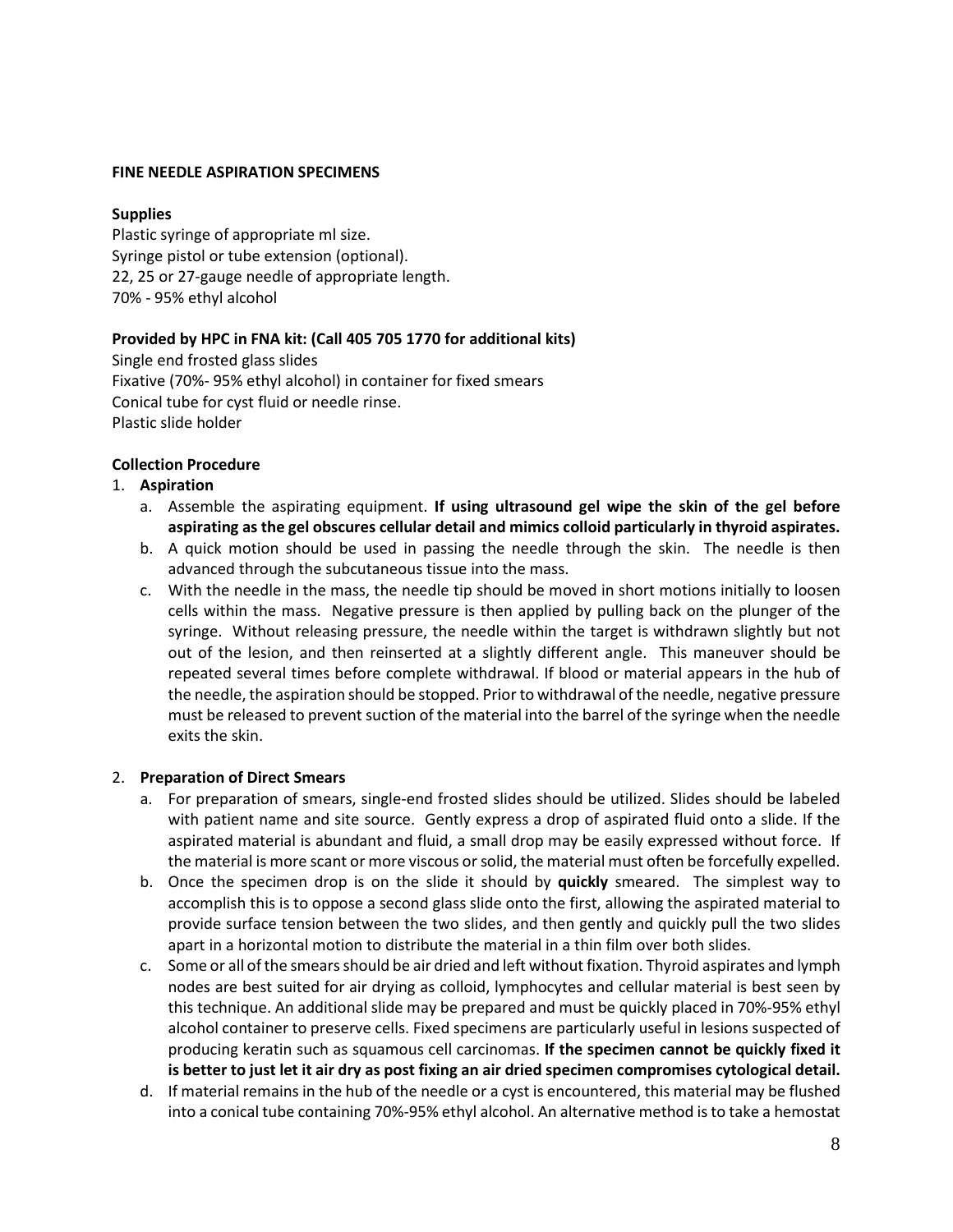#### **FINE NEEDLE ASPIRATION SPECIMENS**

#### **Supplies**

Plastic syringe of appropriate ml size. Syringe pistol or tube extension (optional). 22, 25 or 27-gauge needle of appropriate length. 70% - 95% ethyl alcohol

## **Provided by HPC in FNA kit: (Call 405 705 1770 for additional kits)**

Single end frosted glass slides Fixative (70%- 95% ethyl alcohol) in container for fixed smears Conical tube for cyst fluid or needle rinse. Plastic slide holder

#### **Collection Procedure**

#### 1. **Aspiration**

- a. Assemble the aspirating equipment. **If using ultrasound gel wipe the skin of the gel before aspirating as the gel obscures cellular detail and mimics colloid particularly in thyroid aspirates.**
- b. A quick motion should be used in passing the needle through the skin. The needle is then advanced through the subcutaneous tissue into the mass.
- c. With the needle in the mass, the needle tip should be moved in short motions initially to loosen cells within the mass. Negative pressure is then applied by pulling back on the plunger of the syringe. Without releasing pressure, the needle within the target is withdrawn slightly but not out of the lesion, and then reinserted at a slightly different angle. This maneuver should be repeated several times before complete withdrawal. If blood or material appears in the hub of the needle, the aspiration should be stopped. Prior to withdrawal of the needle, negative pressure must be released to prevent suction of the material into the barrel of the syringe when the needle exits the skin.

#### 2. **Preparation of Direct Smears**

- a. For preparation of smears, single-end frosted slides should be utilized. Slides should be labeled with patient name and site source. Gently express a drop of aspirated fluid onto a slide. If the aspirated material is abundant and fluid, a small drop may be easily expressed without force. If the material is more scant or more viscous or solid, the material must often be forcefully expelled.
- b. Once the specimen drop is on the slide it should by **quickly** smeared. The simplest way to accomplish this is to oppose a second glass slide onto the first, allowing the aspirated material to provide surface tension between the two slides, and then gently and quickly pull the two slides apart in a horizontal motion to distribute the material in a thin film over both slides.
- c. Some or all of the smears should be air dried and left without fixation. Thyroid aspirates and lymph nodes are best suited for air drying as colloid, lymphocytes and cellular material is best seen by this technique. An additional slide may be prepared and must be quickly placed in 70%-95% ethyl alcohol container to preserve cells. Fixed specimens are particularly useful in lesions suspected of producing keratin such as squamous cell carcinomas. **If the specimen cannot be quickly fixed it is better to just let it air dry as post fixing an air dried specimen compromises cytological detail.**
- d. If material remains in the hub of the needle or a cyst is encountered, this material may be flushed into a conical tube containing 70%-95% ethyl alcohol. An alternative method is to take a hemostat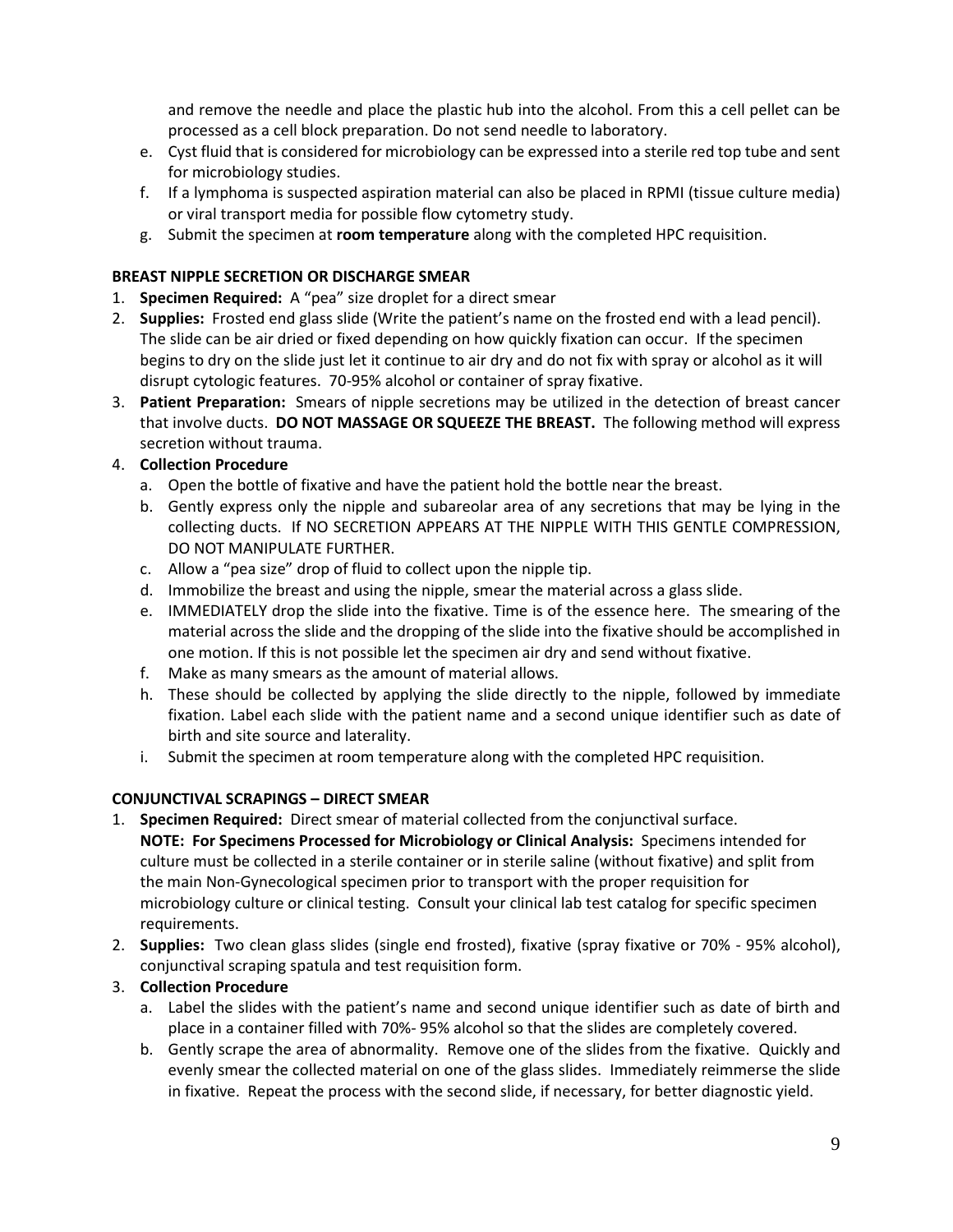and remove the needle and place the plastic hub into the alcohol. From this a cell pellet can be processed as a cell block preparation. Do not send needle to laboratory.

- e. Cyst fluid that is considered for microbiology can be expressed into a sterile red top tube and sent for microbiology studies.
- f. If a lymphoma is suspected aspiration material can also be placed in RPMI (tissue culture media) or viral transport media for possible flow cytometry study.
- g. Submit the specimen at **room temperature** along with the completed HPC requisition.

## **BREAST NIPPLE SECRETION OR DISCHARGE SMEAR**

- 1. **Specimen Required:** A "pea" size droplet for a direct smear
- 2. **Supplies:** Frosted end glass slide (Write the patient's name on the frosted end with a lead pencil). The slide can be air dried or fixed depending on how quickly fixation can occur. If the specimen begins to dry on the slide just let it continue to air dry and do not fix with spray or alcohol as it will disrupt cytologic features. 70-95% alcohol or container of spray fixative.
- 3. **Patient Preparation:** Smears of nipple secretions may be utilized in the detection of breast cancer that involve ducts. **DO NOT MASSAGE OR SQUEEZE THE BREAST.** The following method will express secretion without trauma.

# 4. **Collection Procedure**

- a. Open the bottle of fixative and have the patient hold the bottle near the breast.
- b. Gently express only the nipple and subareolar area of any secretions that may be lying in the collecting ducts. If NO SECRETION APPEARS AT THE NIPPLE WITH THIS GENTLE COMPRESSION, DO NOT MANIPULATE FURTHER.
- c. Allow a "pea size" drop of fluid to collect upon the nipple tip.
- d. Immobilize the breast and using the nipple, smear the material across a glass slide.
- e. IMMEDIATELY drop the slide into the fixative. Time is of the essence here. The smearing of the material across the slide and the dropping of the slide into the fixative should be accomplished in one motion. If this is not possible let the specimen air dry and send without fixative.
- f. Make as many smears as the amount of material allows.
- h. These should be collected by applying the slide directly to the nipple, followed by immediate fixation. Label each slide with the patient name and a second unique identifier such as date of birth and site source and laterality.
- i. Submit the specimen at room temperature along with the completed HPC requisition.

# **CONJUNCTIVAL SCRAPINGS – DIRECT SMEAR**

- 1. **Specimen Required:** Direct smear of material collected from the conjunctival surface. **NOTE: For Specimens Processed for Microbiology or Clinical Analysis:** Specimens intended for culture must be collected in a sterile container or in sterile saline (without fixative) and split from the main Non-Gynecological specimen prior to transport with the proper requisition for microbiology culture or clinical testing. Consult your clinical lab test catalog for specific specimen requirements.
- 2. **Supplies:** Two clean glass slides (single end frosted), fixative (spray fixative or 70% 95% alcohol), conjunctival scraping spatula and test requisition form.
- 3. **Collection Procedure**
	- a. Label the slides with the patient's name and second unique identifier such as date of birth and place in a container filled with 70%- 95% alcohol so that the slides are completely covered.
	- b. Gently scrape the area of abnormality. Remove one of the slides from the fixative. Quickly and evenly smear the collected material on one of the glass slides. Immediately reimmerse the slide in fixative. Repeat the process with the second slide, if necessary, for better diagnostic yield.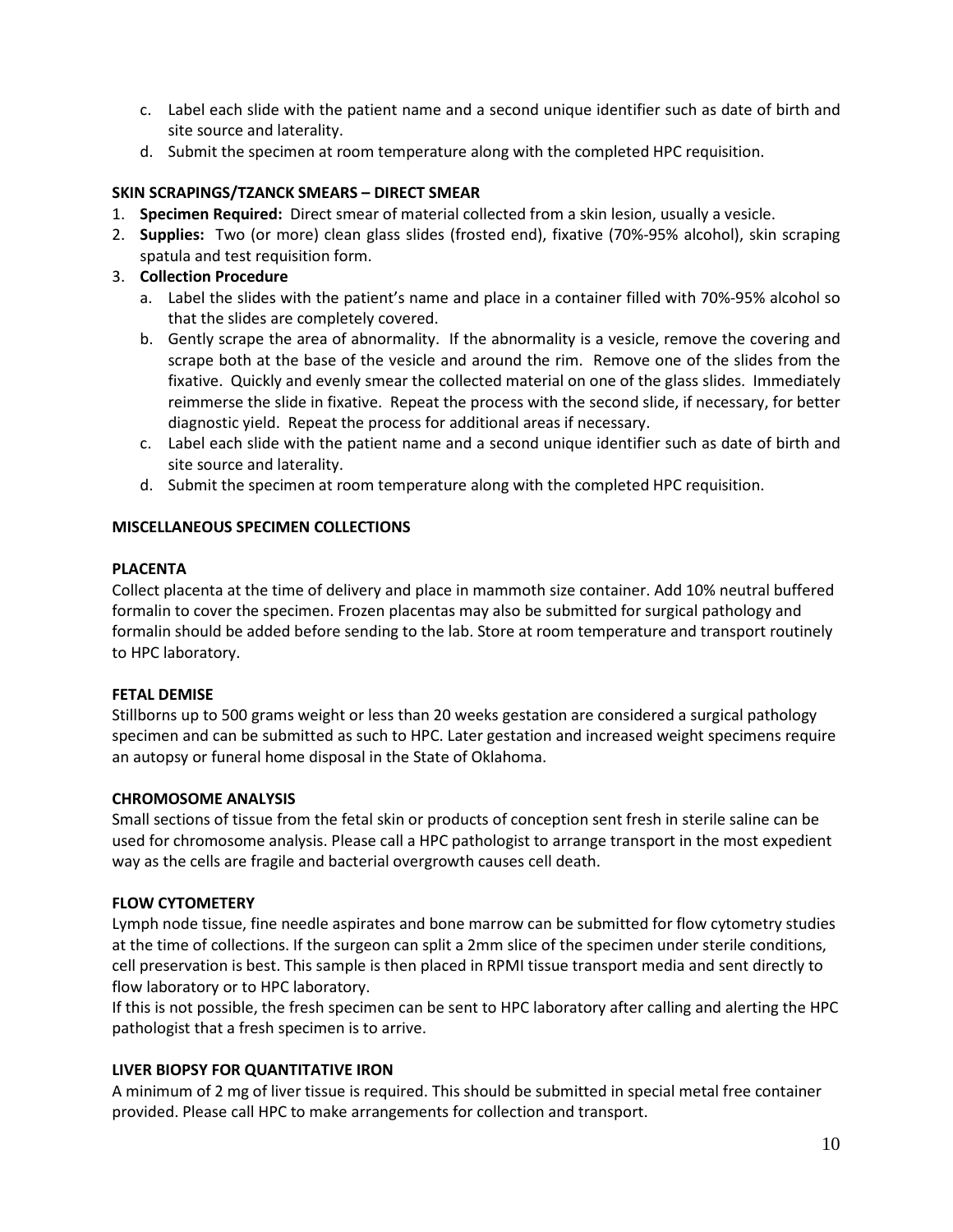- c. Label each slide with the patient name and a second unique identifier such as date of birth and site source and laterality.
- d. Submit the specimen at room temperature along with the completed HPC requisition.

## **SKIN SCRAPINGS/TZANCK SMEARS – DIRECT SMEAR**

- 1. **Specimen Required:** Direct smear of material collected from a skin lesion, usually a vesicle.
- 2. **Supplies:** Two (or more) clean glass slides (frosted end), fixative (70%-95% alcohol), skin scraping spatula and test requisition form.
- 3. **Collection Procedure**
	- a. Label the slides with the patient's name and place in a container filled with 70%-95% alcohol so that the slides are completely covered.
	- b. Gently scrape the area of abnormality. If the abnormality is a vesicle, remove the covering and scrape both at the base of the vesicle and around the rim. Remove one of the slides from the fixative. Quickly and evenly smear the collected material on one of the glass slides. Immediately reimmerse the slide in fixative. Repeat the process with the second slide, if necessary, for better diagnostic yield. Repeat the process for additional areas if necessary.
	- c. Label each slide with the patient name and a second unique identifier such as date of birth and site source and laterality.
	- d. Submit the specimen at room temperature along with the completed HPC requisition.

## **MISCELLANEOUS SPECIMEN COLLECTIONS**

## **PLACENTA**

Collect placenta at the time of delivery and place in mammoth size container. Add 10% neutral buffered formalin to cover the specimen. Frozen placentas may also be submitted for surgical pathology and formalin should be added before sending to the lab. Store at room temperature and transport routinely to HPC laboratory.

## **FETAL DEMISE**

Stillborns up to 500 grams weight or less than 20 weeks gestation are considered a surgical pathology specimen and can be submitted as such to HPC. Later gestation and increased weight specimens require an autopsy or funeral home disposal in the State of Oklahoma.

## **CHROMOSOME ANALYSIS**

Small sections of tissue from the fetal skin or products of conception sent fresh in sterile saline can be used for chromosome analysis. Please call a HPC pathologist to arrange transport in the most expedient way as the cells are fragile and bacterial overgrowth causes cell death.

## **FLOW CYTOMETERY**

Lymph node tissue, fine needle aspirates and bone marrow can be submitted for flow cytometry studies at the time of collections. If the surgeon can split a 2mm slice of the specimen under sterile conditions, cell preservation is best. This sample is then placed in RPMI tissue transport media and sent directly to flow laboratory or to HPC laboratory.

If this is not possible, the fresh specimen can be sent to HPC laboratory after calling and alerting the HPC pathologist that a fresh specimen is to arrive.

## **LIVER BIOPSY FOR QUANTITATIVE IRON**

A minimum of 2 mg of liver tissue is required. This should be submitted in special metal free container provided. Please call HPC to make arrangements for collection and transport.